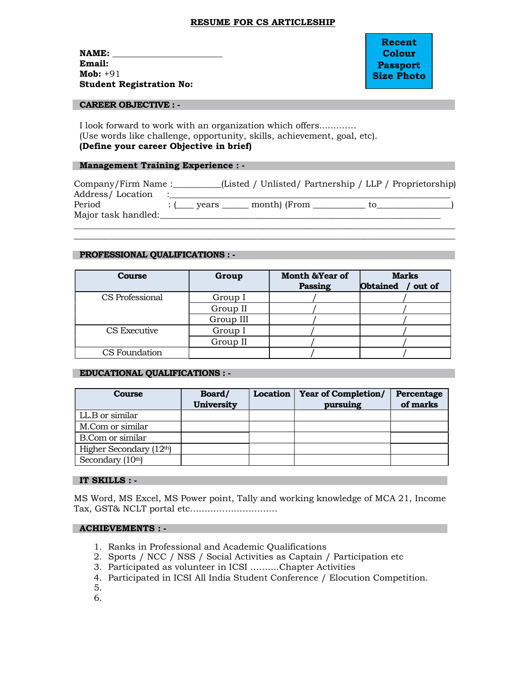### RESUME FOR CS ARTICLESHIP

 $NAME:$ Email: Mob: +91 Student Registration No:

Recent Colour Passport Size Photo

#### CAREER OBJECTIVE : -

I look forward to work with an organization which offers.......…… (Use words like challenge, opportunity, skills, achievement, goal, etc). (Define your career Objective in brief)

### Management Training Experience : -

| Company/Firm Name:  |       |              | (Listed / Unlisted/ Partnership / LLP / Proprietorship) |  |
|---------------------|-------|--------------|---------------------------------------------------------|--|
| Address/Location    |       |              |                                                         |  |
| Period              | vears | month) (From | TO.                                                     |  |
| Major task handled: |       |              |                                                         |  |
|                     |       |              |                                                         |  |

\_\_\_\_\_\_\_\_\_\_\_\_\_\_\_\_\_\_\_\_\_\_\_\_\_\_\_\_\_\_\_\_\_\_\_\_\_\_\_\_\_\_\_\_\_\_\_\_\_\_\_\_\_\_\_\_\_\_\_\_\_\_\_\_\_\_\_\_\_\_\_\_\_\_\_\_\_\_\_\_\_\_\_\_\_\_\_

### PROFESSIONAL QUALIFICATIONS : -

| <b>Course</b>   | Group     | <b>Month &amp;Year of</b><br>Passing | <b>Marks</b><br><b>Obtained</b><br>out of |
|-----------------|-----------|--------------------------------------|-------------------------------------------|
| CS Professional | Group I   |                                      |                                           |
|                 | Group II  |                                      |                                           |
|                 | Group III |                                      |                                           |
| CS Executive    | Group I   |                                      |                                           |
|                 | Group II  |                                      |                                           |
| CS Foundation   |           |                                      |                                           |

## EDUCATIONAL QUALIFICATIONS : -

| Course                        | Board/<br><b>University</b> | <b>Location</b> | <b>Year of Completion/</b><br>pursuing | Percentage<br>of marks |
|-------------------------------|-----------------------------|-----------------|----------------------------------------|------------------------|
| LL.B or similar               |                             |                 |                                        |                        |
| M.Com or similar              |                             |                 |                                        |                        |
| <b>B.Com or similar</b>       |                             |                 |                                        |                        |
| Higher Secondary (12th)       |                             |                 |                                        |                        |
| Secondary (10 <sup>th</sup> ) |                             |                 |                                        |                        |

## IT SKILLS : -

MS Word, MS Excel, MS Power point, Tally and working knowledge of MCA 21, Income Tax, GST& NCLT portal etc…………………………

# ACHIEVEMENTS : -

- 1. Ranks in Professional and Academic Qualifications
- 2. Sports / NCC / NSS / Social Activities as Captain / Participation etc
- 3. Participated as volunteer in ICSI ……….Chapter Activities
- 4. Participated in ICSI All India Student Conference / Elocution Competition.
- 5.
- 6.